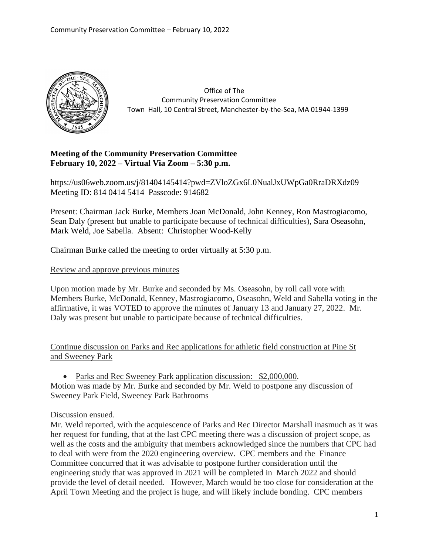

 Office of The Community Preservation Committee Town Hall, 10 Central Street, Manchester-by-the-Sea, MA 01944-1399

## **Meeting of the Community Preservation Committee February 10, 2022 – Virtual Via Zoom – 5:30 p.m.**

https://us06web.zoom.us/j/81404145414?pwd=ZVloZGx6L0NualJxUWpGa0RraDRXdz09 Meeting ID: 814 0414 5414 Passcode: 914682

Present: Chairman Jack Burke, Members Joan McDonald, John Kenney, Ron Mastrogiacomo, Sean Daly (present but unable to participate because of technical difficulties), Sara Oseasohn, Mark Weld, Joe Sabella. Absent: Christopher Wood-Kelly

Chairman Burke called the meeting to order virtually at 5:30 p.m.

Review and approve previous minutes

Upon motion made by Mr. Burke and seconded by Ms. Oseasohn, by roll call vote with Members Burke, McDonald, Kenney, Mastrogiacomo, Oseasohn, Weld and Sabella voting in the affirmative, it was VOTED to approve the minutes of January 13 and January 27, 2022. Mr. Daly was present but unable to participate because of technical difficulties.

Continue discussion on Parks and Rec applications for athletic field construction at Pine St and Sweeney Park

• Parks and Rec Sweeney Park application discussion: \$2,000,000. Motion was made by Mr. Burke and seconded by Mr. Weld to postpone any discussion of Sweeney Park Field, Sweeney Park Bathrooms

Discussion ensued.

Mr. Weld reported, with the acquiescence of Parks and Rec Director Marshall inasmuch as it was her request for funding, that at the last CPC meeting there was a discussion of project scope, as well as the costs and the ambiguity that members acknowledged since the numbers that CPC had to deal with were from the 2020 engineering overview. CPC members and the Finance Committee concurred that it was advisable to postpone further consideration until the engineering study that was approved in 2021 will be completed in March 2022 and should provide the level of detail needed. However, March would be too close for consideration at the April Town Meeting and the project is huge, and will likely include bonding. CPC members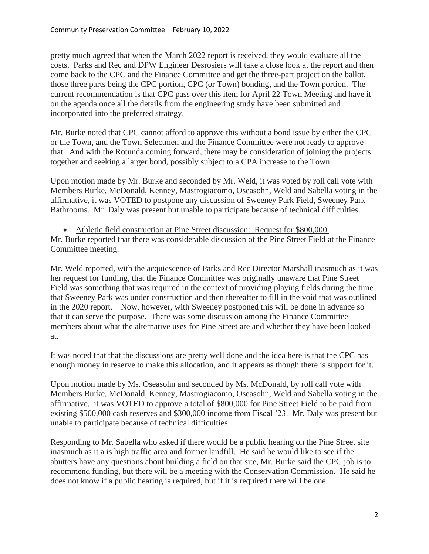pretty much agreed that when the March 2022 report is received, they would evaluate all the costs. Parks and Rec and DPW Engineer Desrosiers will take a close look at the report and then come back to the CPC and the Finance Committee and get the three-part project on the ballot, those three parts being the CPC portion, CPC (or Town) bonding, and the Town portion. The current recommendation is that CPC pass over this item for April 22 Town Meeting and have it on the agenda once all the details from the engineering study have been submitted and incorporated into the preferred strategy.

Mr. Burke noted that CPC cannot afford to approve this without a bond issue by either the CPC or the Town, and the Town Selectmen and the Finance Committee were not ready to approve that. And with the Rotunda coming forward, there may be consideration of joining the projects together and seeking a larger bond, possibly subject to a CPA increase to the Town.

Upon motion made by Mr. Burke and seconded by Mr. Weld, it was voted by roll call vote with Members Burke, McDonald, Kenney, Mastrogiacomo, Oseasohn, Weld and Sabella voting in the affirmative, it was VOTED to postpone any discussion of Sweeney Park Field, Sweeney Park Bathrooms. Mr. Daly was present but unable to participate because of technical difficulties.

• Athletic field construction at Pine Street discussion: Request for \$800,000. Mr. Burke reported that there was considerable discussion of the Pine Street Field at the Finance Committee meeting.

Mr. Weld reported, with the acquiescence of Parks and Rec Director Marshall inasmuch as it was her request for funding, that the Finance Committee was originally unaware that Pine Street Field was something that was required in the context of providing playing fields during the time that Sweeney Park was under construction and then thereafter to fill in the void that was outlined in the 2020 report. Now, however, with Sweeney postponed this will be done in advance so that it can serve the purpose. There was some discussion among the Finance Committee members about what the alternative uses for Pine Street are and whether they have been looked at.

It was noted that that the discussions are pretty well done and the idea here is that the CPC has enough money in reserve to make this allocation, and it appears as though there is support for it.

Upon motion made by Ms. Oseasohn and seconded by Ms. McDonald, by roll call vote with Members Burke, McDonald, Kenney, Mastrogiacomo, Oseasohn, Weld and Sabella voting in the affirmative, it was VOTED to approve a total of \$800,000 for Pine Street Field to be paid from existing \$500,000 cash reserves and \$300,000 income from Fiscal '23. Mr. Daly was present but unable to participate because of technical difficulties.

Responding to Mr. Sabella who asked if there would be a public hearing on the Pine Street site inasmuch as it a is high traffic area and former landfill. He said he would like to see if the abutters have any questions about building a field on that site, Mr. Burke said the CPC job is to recommend funding, but there will be a meeting with the Conservation Commission. He said he does not know if a public hearing is required, but if it is required there will be one.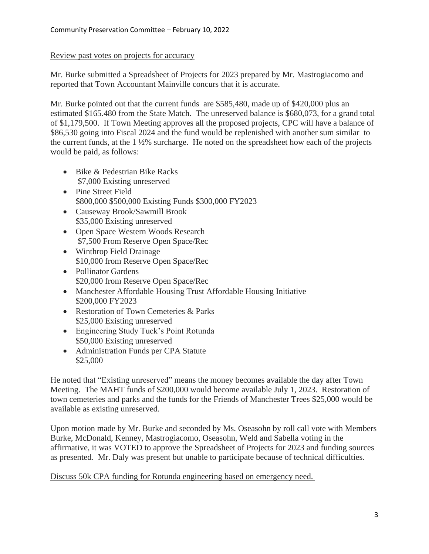## Review past votes on projects for accuracy

Mr. Burke submitted a Spreadsheet of Projects for 2023 prepared by Mr. Mastrogiacomo and reported that Town Accountant Mainville concurs that it is accurate.

Mr. Burke pointed out that the current funds are \$585,480, made up of \$420,000 plus an estimated \$165.480 from the State Match. The unreserved balance is \$680,073, for a grand total of \$1,179,500. If Town Meeting approves all the proposed projects, CPC will have a balance of \$86,530 going into Fiscal 2024 and the fund would be replenished with another sum similar to the current funds, at the 1 ½% surcharge. He noted on the spreadsheet how each of the projects would be paid, as follows:

- Bike & Pedestrian Bike Racks \$7,000 Existing unreserved
- Pine Street Field \$800,000 \$500,000 Existing Funds \$300,000 FY2023
- Causeway Brook/Sawmill Brook \$35,000 Existing unreserved
- Open Space Western Woods Research \$7,500 From Reserve Open Space/Rec
- Winthrop Field Drainage \$10,000 from Reserve Open Space/Rec
- Pollinator Gardens \$20,000 from Reserve Open Space/Rec
- Manchester Affordable Housing Trust Affordable Housing Initiative \$200,000 FY2023
- Restoration of Town Cemeteries & Parks \$25,000 Existing unreserved
- Engineering Study Tuck's Point Rotunda \$50,000 Existing unreserved
- Administration Funds per CPA Statute \$25,000

He noted that "Existing unreserved" means the money becomes available the day after Town Meeting. The MAHT funds of \$200,000 would become available July 1, 2023. Restoration of town cemeteries and parks and the funds for the Friends of Manchester Trees \$25,000 would be available as existing unreserved.

Upon motion made by Mr. Burke and seconded by Ms. Oseasohn by roll call vote with Members Burke, McDonald, Kenney, Mastrogiacomo, Oseasohn, Weld and Sabella voting in the affirmative, it was VOTED to approve the Spreadsheet of Projects for 2023 and funding sources as presented. Mr. Daly was present but unable to participate because of technical difficulties.

Discuss 50k CPA funding for Rotunda engineering based on emergency need.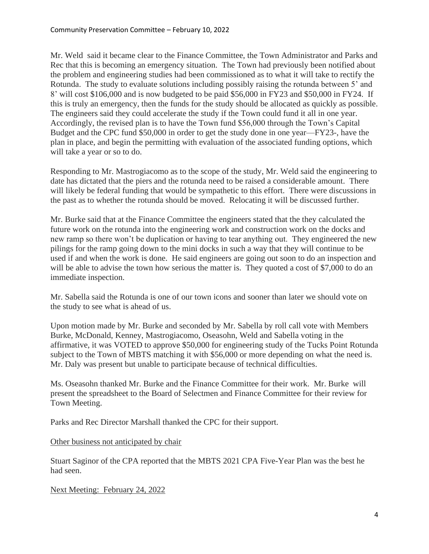Mr. Weld said it became clear to the Finance Committee, the Town Administrator and Parks and Rec that this is becoming an emergency situation. The Town had previously been notified about the problem and engineering studies had been commissioned as to what it will take to rectify the Rotunda. The study to evaluate solutions including possibly raising the rotunda between 5' and 8' will cost \$106,000 and is now budgeted to be paid \$56,000 in FY23 and \$50,000 in FY24. If this is truly an emergency, then the funds for the study should be allocated as quickly as possible. The engineers said they could accelerate the study if the Town could fund it all in one year. Accordingly, the revised plan is to have the Town fund \$56,000 through the Town's Capital Budget and the CPC fund \$50,000 in order to get the study done in one year—FY23-, have the plan in place, and begin the permitting with evaluation of the associated funding options, which will take a year or so to do.

Responding to Mr. Mastrogiacomo as to the scope of the study, Mr. Weld said the engineering to date has dictated that the piers and the rotunda need to be raised a considerable amount. There will likely be federal funding that would be sympathetic to this effort. There were discussions in the past as to whether the rotunda should be moved. Relocating it will be discussed further.

Mr. Burke said that at the Finance Committee the engineers stated that the they calculated the future work on the rotunda into the engineering work and construction work on the docks and new ramp so there won't be duplication or having to tear anything out. They engineered the new pilings for the ramp going down to the mini docks in such a way that they will continue to be used if and when the work is done. He said engineers are going out soon to do an inspection and will be able to advise the town how serious the matter is. They quoted a cost of \$7,000 to do an immediate inspection.

Mr. Sabella said the Rotunda is one of our town icons and sooner than later we should vote on the study to see what is ahead of us.

Upon motion made by Mr. Burke and seconded by Mr. Sabella by roll call vote with Members Burke, McDonald, Kenney, Mastrogiacomo, Oseasohn, Weld and Sabella voting in the affirmative, it was VOTED to approve \$50,000 for engineering study of the Tucks Point Rotunda subject to the Town of MBTS matching it with \$56,000 or more depending on what the need is. Mr. Daly was present but unable to participate because of technical difficulties.

Ms. Oseasohn thanked Mr. Burke and the Finance Committee for their work. Mr. Burke will present the spreadsheet to the Board of Selectmen and Finance Committee for their review for Town Meeting.

Parks and Rec Director Marshall thanked the CPC for their support.

## Other business not anticipated by chair

Stuart Saginor of the CPA reported that the MBTS 2021 CPA Five-Year Plan was the best he had seen.

Next Meeting: February 24, 2022